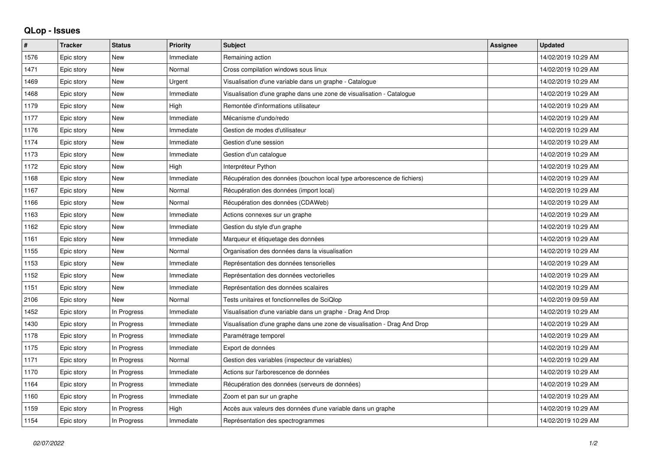## **QLop - Issues**

| ∦    | <b>Tracker</b> | <b>Status</b> | <b>Priority</b> | Subject                                                                   | <b>Assignee</b> | <b>Updated</b>      |
|------|----------------|---------------|-----------------|---------------------------------------------------------------------------|-----------------|---------------------|
| 1576 | Epic story     | <b>New</b>    | Immediate       | Remaining action                                                          |                 | 14/02/2019 10:29 AM |
| 1471 | Epic story     | <b>New</b>    | Normal          | Cross compilation windows sous linux                                      |                 | 14/02/2019 10:29 AM |
| 1469 | Epic story     | <b>New</b>    | Urgent          | Visualisation d'une variable dans un graphe - Catalogue                   |                 | 14/02/2019 10:29 AM |
| 1468 | Epic story     | <b>New</b>    | Immediate       | Visualisation d'une graphe dans une zone de visualisation - Catalogue     |                 | 14/02/2019 10:29 AM |
| 1179 | Epic story     | <b>New</b>    | High            | Remontée d'informations utilisateur                                       |                 | 14/02/2019 10:29 AM |
| 1177 | Epic story     | <b>New</b>    | Immediate       | Mécanisme d'undo/redo                                                     |                 | 14/02/2019 10:29 AM |
| 1176 | Epic story     | <b>New</b>    | Immediate       | Gestion de modes d'utilisateur                                            |                 | 14/02/2019 10:29 AM |
| 1174 | Epic story     | <b>New</b>    | Immediate       | Gestion d'une session                                                     |                 | 14/02/2019 10:29 AM |
| 1173 | Epic story     | <b>New</b>    | Immediate       | Gestion d'un catalogue                                                    |                 | 14/02/2019 10:29 AM |
| 1172 | Epic story     | <b>New</b>    | High            | Interpréteur Python                                                       |                 | 14/02/2019 10:29 AM |
| 1168 | Epic story     | <b>New</b>    | Immediate       | Récupération des données (bouchon local type arborescence de fichiers)    |                 | 14/02/2019 10:29 AM |
| 1167 | Epic story     | <b>New</b>    | Normal          | Récupération des données (import local)                                   |                 | 14/02/2019 10:29 AM |
| 1166 | Epic story     | <b>New</b>    | Normal          | Récupération des données (CDAWeb)                                         |                 | 14/02/2019 10:29 AM |
| 1163 | Epic story     | <b>New</b>    | Immediate       | Actions connexes sur un graphe                                            |                 | 14/02/2019 10:29 AM |
| 1162 | Epic story     | <b>New</b>    | Immediate       | Gestion du style d'un graphe                                              |                 | 14/02/2019 10:29 AM |
| 1161 | Epic story     | <b>New</b>    | Immediate       | Marqueur et étiquetage des données                                        |                 | 14/02/2019 10:29 AM |
| 1155 | Epic story     | <b>New</b>    | Normal          | Organisation des données dans la visualisation                            |                 | 14/02/2019 10:29 AM |
| 1153 | Epic story     | <b>New</b>    | Immediate       | Représentation des données tensorielles                                   |                 | 14/02/2019 10:29 AM |
| 1152 | Epic story     | <b>New</b>    | Immediate       | Représentation des données vectorielles                                   |                 | 14/02/2019 10:29 AM |
| 1151 | Epic story     | <b>New</b>    | Immediate       | Représentation des données scalaires                                      |                 | 14/02/2019 10:29 AM |
| 2106 | Epic story     | <b>New</b>    | Normal          | Tests unitaires et fonctionnelles de SciQlop                              |                 | 14/02/2019 09:59 AM |
| 1452 | Epic story     | In Progress   | Immediate       | Visualisation d'une variable dans un graphe - Drag And Drop               |                 | 14/02/2019 10:29 AM |
| 1430 | Epic story     | In Progress   | Immediate       | Visualisation d'une graphe dans une zone de visualisation - Drag And Drop |                 | 14/02/2019 10:29 AM |
| 1178 | Epic story     | In Progress   | Immediate       | Paramétrage temporel                                                      |                 | 14/02/2019 10:29 AM |
| 1175 | Epic story     | In Progress   | Immediate       | Export de données                                                         |                 | 14/02/2019 10:29 AM |
| 1171 | Epic story     | In Progress   | Normal          | Gestion des variables (inspecteur de variables)                           |                 | 14/02/2019 10:29 AM |
| 1170 | Epic story     | In Progress   | Immediate       | Actions sur l'arborescence de données                                     |                 | 14/02/2019 10:29 AM |
| 1164 | Epic story     | In Progress   | Immediate       | Récupération des données (serveurs de données)                            |                 | 14/02/2019 10:29 AM |
| 1160 | Epic story     | In Progress   | Immediate       | Zoom et pan sur un graphe                                                 |                 | 14/02/2019 10:29 AM |
| 1159 | Epic story     | In Progress   | High            | Accès aux valeurs des données d'une variable dans un graphe               |                 | 14/02/2019 10:29 AM |
| 1154 | Epic story     | In Progress   | Immediate       | Représentation des spectrogrammes                                         |                 | 14/02/2019 10:29 AM |